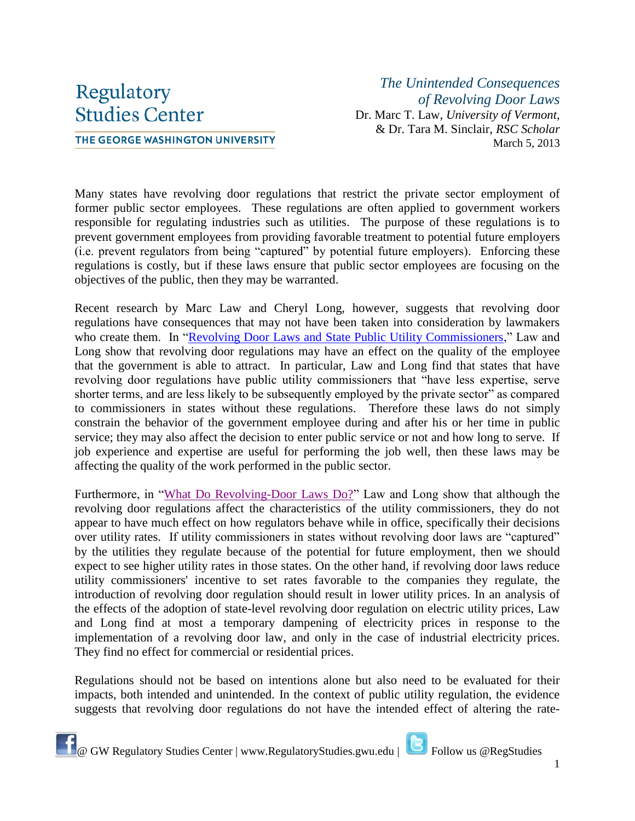## Regulatory **Studies Center**

THE GEORGE WASHINGTON UNIVERSITY

*The Unintended Consequences of Revolving Door Laws* Dr. Marc T. Law, *University of Vermont,* & Dr. Tara M. Sinclair, *RSC Scholar* March 5, 2013

Many states have revolving door regulations that restrict the private sector employment of former public sector employees. These regulations are often applied to government workers responsible for regulating industries such as utilities. The purpose of these regulations is to prevent government employees from providing favorable treatment to potential future employers (i.e. prevent regulators from being "captured" by potential future employers). Enforcing these regulations is costly, but if these laws ensure that public sector employees are focusing on the objectives of the public, then they may be warranted.

Recent research by Marc Law and Cheryl Long, however, suggests that revolving door regulations have consequences that may not have been taken into consideration by lawmakers who create them. In ["Revolving Door Laws and State Public Utility Commissioners,](http://onlinelibrary.wiley.com/doi/10.1111/j.1748-5991.2011.01119.x/abstract)" Law and Long show that revolving door regulations may have an effect on the quality of the employee that the government is able to attract. In particular, Law and Long find that states that have revolving door regulations have public utility commissioners that "have less expertise, serve shorter terms, and are less likely to be subsequently employed by the private sector" as compared to commissioners in states without these regulations. Therefore these laws do not simply constrain the behavior of the government employee during and after his or her time in public service; they may also affect the decision to enter public service or not and how long to serve. If job experience and expertise are useful for performing the job well, then these laws may be affecting the quality of the work performed in the public sector.

Furthermore, in ["What Do Revolving-Door Laws Do?"](http://www.jstor.org/stable/10.1086/663630) Law and Long show that although the revolving door regulations affect the characteristics of the utility commissioners, they do not appear to have much effect on how regulators behave while in office, specifically their decisions over utility rates. If utility commissioners in states without revolving door laws are "captured" by the utilities they regulate because of the potential for future employment, then we should expect to see higher utility rates in those states. On the other hand, if revolving door laws reduce utility commissioners' incentive to set rates favorable to the companies they regulate, the introduction of revolving door regulation should result in lower utility prices. In an analysis of the effects of the adoption of state-level revolving door regulation on electric utility prices, Law and Long find at most a temporary dampening of electricity prices in response to the implementation of a revolving door law, and only in the case of industrial electricity prices. They find no effect for commercial or residential prices.

Regulations should not be based on intentions alone but also need to be evaluated for their impacts, both intended and unintended. In the context of public utility regulation, the evidence suggests that revolving door regulations do not have the intended effect of altering the rate